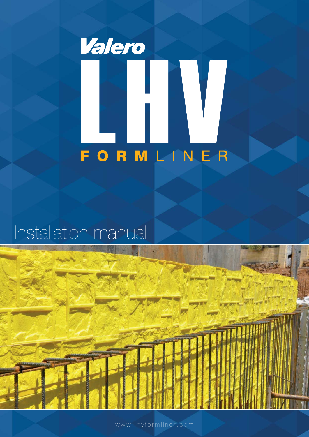

# Installation manual



www.lhvformliner.com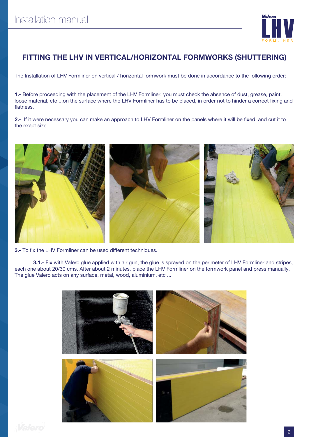

## **FITTING THE LHV IN VERTICAL/HORIZONTAL FORMWORKS (SHUTTERING)**

The Installation of LHV Formliner on vertical / horizontal formwork must be done in accordance to the following order:

**1.-** Before proceeding with the placement of the LHV Formliner, you must check the absence of dust, grease, paint, loose material, etc ...on the surface where the LHV Formliner has to be placed, in order not to hinder a correct fixing and flatness.

2.- If it were necessary you can make an approach to LHV Formliner on the panels where it will be fixed, and cut it to the exact size.



**3.-** To fix the LHV Formliner can be used different techniques.

**3.1.-** Fix with Valero glue applied with air gun, the glue is sprayed on the perimeter of LHV Formliner and stripes, each one about 20/30 cms. After about 2 minutes, place the LHV Formliner on the formwork panel and press manually. The glue Valero acts on any surface, metal, wood, aluminium, etc ...

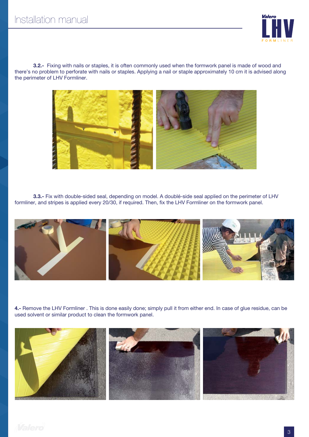

**3.2.-** Fixing with nails or staples, it is often commonly used when the formwork panel is made of wood and there's no problem to perforate with nails or staples. Applying a nail or staple approximately 10 cm it is advised along the perimeter of LHV Formliner.



**3.3.-** Fix with double-sided seal, depending on model. A doublé-side seal applied on the perimeter of LHV formliner, and stripes is applied every 20/30, if required. Then, fix the LHV Formliner on the formwork panel.



**4.-** Remove the LHV Formliner . This is done easily done; simply pull it from either end. In case of glue residue, can be used solvent or similar product to clean the formwork panel.

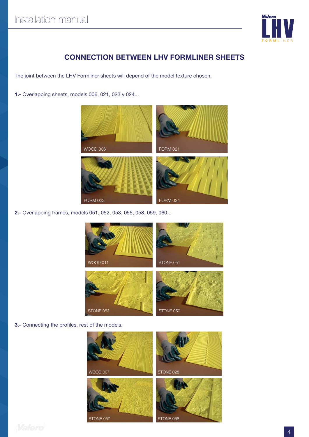

### **CONNECTION BETWEEN LHV FORMLINER SHEETS**

The joint between the LHV Formliner sheets will depend of the model texture chosen.

**1.-** Overlapping sheets, models 006, 021, 023 y 024...



**2.-** Overlapping frames, models 051, 052, 053, 055, 058, 059, 060...



**3.-** Connecting the profiles, rest of the models.

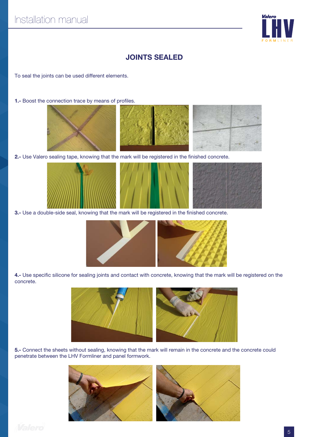

#### **JOINTS SEALED**

To seal the joints can be used different elements.

**1.-** Boost the connection trace by means of profiles.







2.- Use Valero sealing tape, knowing that the mark will be registered in the finished concrete.



**3.-** Use a double-side seal, knowing that the mark will be registered in the finished concrete.



4.- Use specific silicone for sealing joints and contact with concrete, knowing that the mark will be registered on the concrete.



**5.-** Connect the sheets without sealing, knowing that the mark will remain in the concrete and the concrete could penetrate between the LHV Formliner and panel formwork.